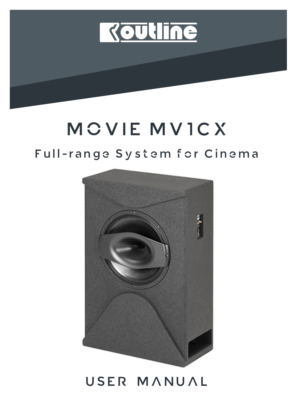

# MOVIE MV1CX

### Full-range System for Cinema



## USER MANUAL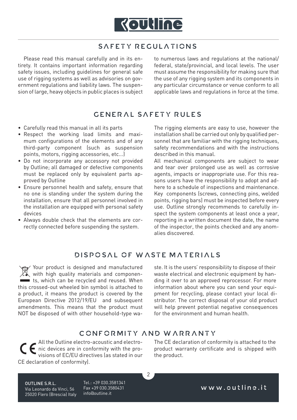

#### SAFETY REGULATIONS

Please read this manual carefully and in its entirety. It contains important information regarding safety issues, including guidelines for general safe use of rigging systems as well as advisories on government regulations and liability laws. The suspension of large, heavy objects in public places is subject to numerous laws and regulations at the national/ federal, state/provincial, and local levels. The user must assume the responsibility for making sure that the use of any rigging system and its components in any particular circumstance or venue conform to all applicable laws and regulations in force at the time.

#### GENERAL SAFETY RULES

- Carefully read this manual in all its parts
- Respect the working load limits and maximum configurations of the elements and of any third-party component (such as suspension points, motors, rigging accessories, etc...)
- Do not incorporate any accessory not provided by Outline; all damaged or defective components must be replaced only by equivalent parts approved by Outline
- Ensure personnel health and safety, ensure that no one is standing under the system during the installation, ensure that all personnel involved in the installation are equipped with personal safety devices
- Always double check that the elements are correctly connected before suspending the system.

The rigging elements are easy to use, however the installation shall be carried out only by qualified personnel that are familiar with the rigging techniques, safety recommendations and with the instructions described in this manual.

All mechanical components are subject to wear and tear over prolonged use as well as corrosive agents, impacts or inappropriate use. For this reasons users have the responsibility to adopt and adhere to a schedule of inspections and maintenance. Key components (screws, connecting pins, welded points, rigging bars) must be inspected before every use. Outline strongly recommends to carefully inspect the system components at least once a year, reporting in a written document the date, the name of the inspector, the points checked and any anomalies discovered.

#### DISPOSAL OF WASTE MATERIALS

Your product is designed and manufactured Your product is designed die ...<br>We with high quality materials and componen**ts**, which can be recycled and reused. When this crossed-out wheeled bin symbol is attached to a product, it means the product is covered by the European Directive 2012/19/EU and subsequent amendments. This means that the product must NOT be disposed of with other household-type wa-

ste. It is the users' responsibility to dispose of their waste electrical and electronic equipment by handing it over to an approved reprocessor. For more information about where you can send your equipment for recycling, please contact your local distributor. The correct disposal of your old product will help prevent potential negative consequences for the environment and human health.

#### CONFORMITY AND WARRANTY

 $\overline{2}$ 

All the Outline electro-acoustic and electro-Alt the outline electro-acoustic and electro-<br>• nic devices are in conformity with the provisions of EC/EU directives (as stated in our CE declaration of conformity).

The CE declaration of conformity is attached to the product warranty certificate and is shipped with the product.

OUTLINE S.R.L. Via Leonardo da Vinci, 56 25020 Flero (Brescia) Italy Tel.: +39 030.3581341 Fax +39 030.3580431 info@outline.it

www.outline.it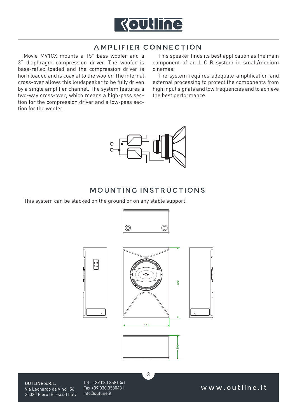

#### AMPLIFIER CONNECTION

Movie MV1CX mounts a 15" bass woofer and a 3" diaphragm compression driver. The woofer is bass-reflex loaded and the compression driver is horn loaded and is coaxial to the woofer. The internal cross-over allows this loudspeaker to be fully driven by a single amplifier channel. The system features a two-way cross-over, which means a high-pass section for the compression driver and a low-pass section for the woofer.

This speaker finds its best application as the main component of an L-C-R system in small/medium cinemas.

The system requires adequate amplification and external processing to protect the components from high input signals and low frequencies and to achieve the best performance.



### MCUNTING INSTRUCTIONS

This system can be stacked on the ground or on any stable support.





OUTLINE S.R.L. Via Leonardo da Vinci, 56 25020 Flero (Brescia) Italy Tel.: +39 030.3581341 Fax +39 030.3580431 info@outline.it

www.outline.it